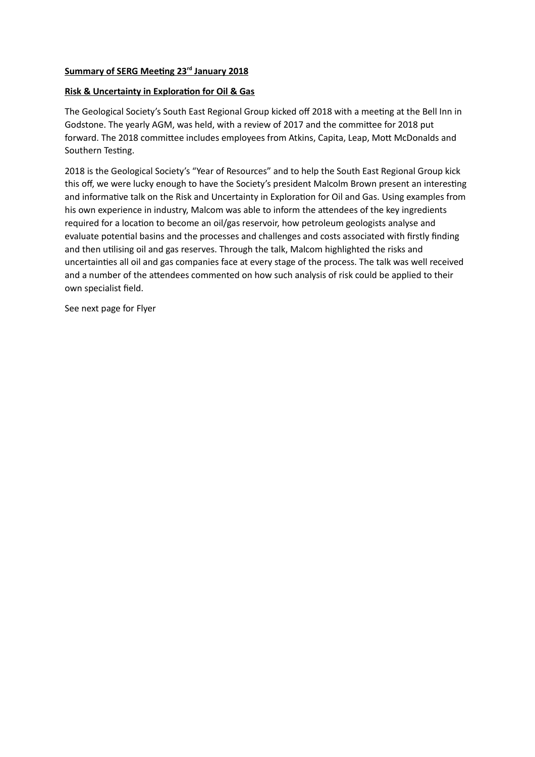# **Summary of SERG Meeting 23rd January 2018**

## **Risk & Uncertainty in Exploration for Oil & Gas**

The Geological Society's South East Regional Group kicked off 2018 with a meeting at the Bell Inn in Godstone. The yearly AGM, was held, with a review of 2017 and the committee for 2018 put forward. The 2018 committee includes employees from Atkins, Capita, Leap, Mott McDonalds and Southern Testing.

2018 is the Geological Society's "Year of Resources" and to help the South East Regional Group kick this off, we were lucky enough to have the Society's president Malcolm Brown present an interesting and informative talk on the Risk and Uncertainty in Exploration for Oil and Gas. Using examples from his own experience in industry, Malcom was able to inform the attendees of the key ingredients required for a location to become an oil/gas reservoir, how petroleum geologists analyse and evaluate potential basins and the processes and challenges and costs associated with firstly finding and then utilising oil and gas reserves. Through the talk, Malcom highlighted the risks and uncertainties all oil and gas companies face at every stage of the process. The talk was well received and a number of the attendees commented on how such analysis of risk could be applied to their own specialist field.

See next page for Flyer